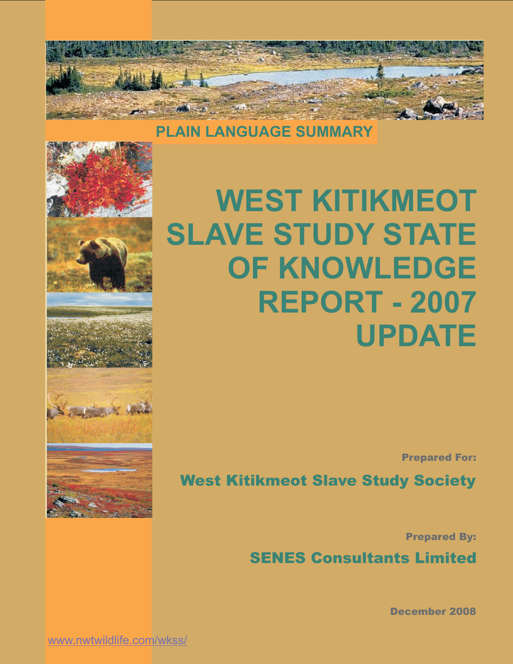

**PLAIN LANGUAGE SUMMARY**











**WEST KITIKMEOT SLAVE STUDY STATE OF KNOWLEDGE REPORT - 2007 UPDATE**

Prepared For:

West Kitikmeot Slave Study Society

Prepared By:

SENES Consultants Limited

December 2008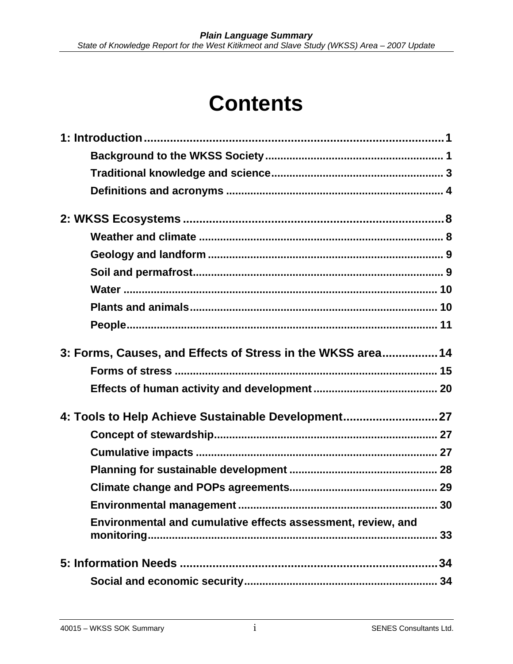# **Contents**

| 3: Forms, Causes, and Effects of Stress in the WKSS area 14        |
|--------------------------------------------------------------------|
|                                                                    |
|                                                                    |
| 4: Tools to Help Achieve Sustainable Development27                 |
|                                                                    |
|                                                                    |
|                                                                    |
|                                                                    |
|                                                                    |
| Environmental and cumulative effects assessment, review, and<br>33 |
| 34                                                                 |
| 34                                                                 |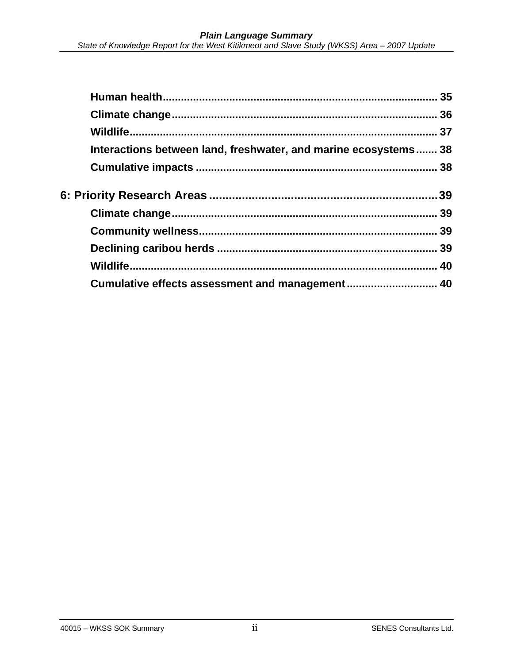| Interactions between land, freshwater, and marine ecosystems 38 |
|-----------------------------------------------------------------|
|                                                                 |
|                                                                 |
|                                                                 |
|                                                                 |
|                                                                 |
|                                                                 |
| Cumulative effects assessment and management 40                 |
|                                                                 |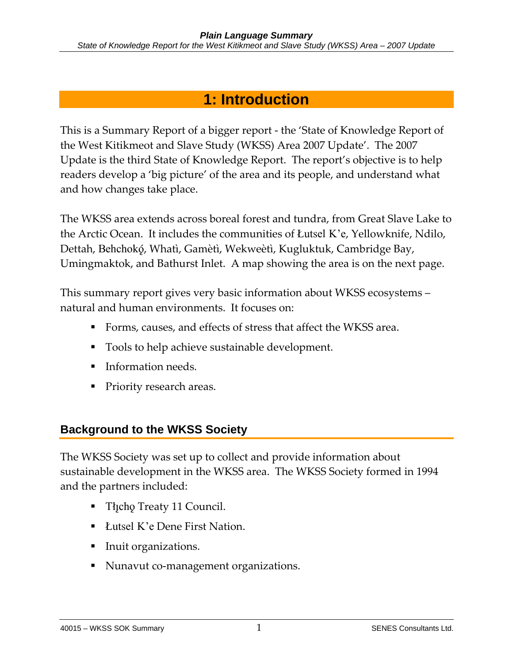# **1: Introduction**

This is a Summary Report of a bigger report - the 'State of Knowledge Report of the West Kitikmeot and Slave Study (WKSS) Area 2007 Update'. The 2007 Update is the third State of Knowledge Report. The report's objective is to help readers develop a 'big picture' of the area and its people, and understand what and how changes take place.

The WKSS area extends across boreal forest and tundra, from Great Slave Lake to the Arctic Ocean. It includes the communities of Åutsel K'e, Yellowknife, Ndilo, Dettah, Behchokõ, Whatì, Gamètì, Wekweètì, Kugluktuk, Cambridge Bay, Umingmaktok, and Bathurst Inlet. A map showing the area is on the next page.

This summary report gives very basic information about WKSS ecosystems – natural and human environments. It focuses on:

- Forms, causes, and effects of stress that affect the WKSS area.
- Tools to help achieve sustainable development.
- Information needs.
- Priority research areas.

### **Background to the WKSS Society**

The WKSS Society was set up to collect and provide information about sustainable development in the WKSS area. The WKSS Society formed in 1994 and the partners included:

- **Thicho Treaty 11 Council.**
- Lutsel K'e Dene First Nation.
- Inuit organizations.
- Nunavut co-management organizations.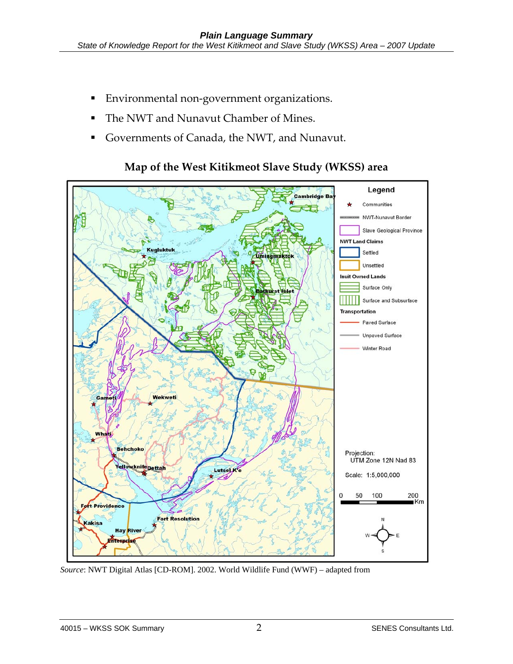- **Environmental non-government organizations.**
- The NWT and Nunavut Chamber of Mines.
- Governments of Canada, the NWT, and Nunavut.



#### **Map of the West Kitikmeot Slave Study (WKSS) area**

*Source*: NWT Digital Atlas [CD-ROM]. 2002. World Wildlife Fund (WWF) – adapted from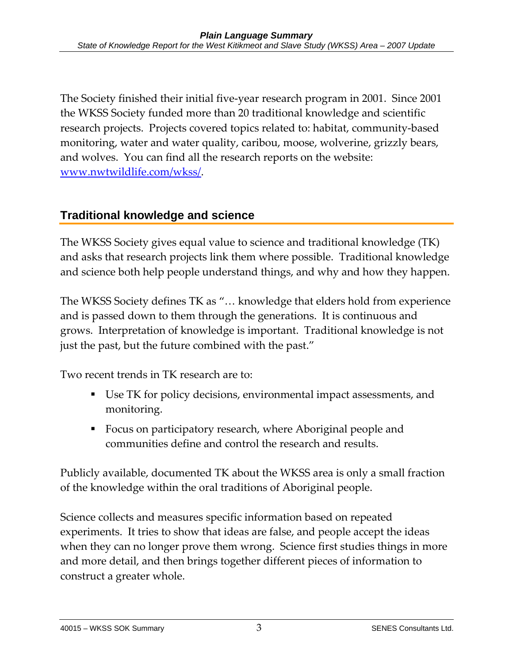The Society finished their initial five-year research program in 2001. Since 2001 the WKSS Society funded more than 20 traditional knowledge and scientific research projects. Projects covered topics related to: habitat, community-based monitoring, water and water quality, caribou, moose, wolverine, grizzly bears, and wolves. You can find all the research reports on the website: www.nwtwildlife.com/wkss/.

### **Traditional knowledge and science**

The WKSS Society gives equal value to science and traditional knowledge (TK) and asks that research projects link them where possible. Traditional knowledge and science both help people understand things, and why and how they happen.

The WKSS Society defines TK as "… knowledge that elders hold from experience and is passed down to them through the generations. It is continuous and grows. Interpretation of knowledge is important. Traditional knowledge is not just the past, but the future combined with the past."

Two recent trends in TK research are to:

- Use TK for policy decisions, environmental impact assessments, and monitoring.
- Focus on participatory research, where Aboriginal people and communities define and control the research and results.

Publicly available, documented TK about the WKSS area is only a small fraction of the knowledge within the oral traditions of Aboriginal people.

Science collects and measures specific information based on repeated experiments. It tries to show that ideas are false, and people accept the ideas when they can no longer prove them wrong. Science first studies things in more and more detail, and then brings together different pieces of information to construct a greater whole.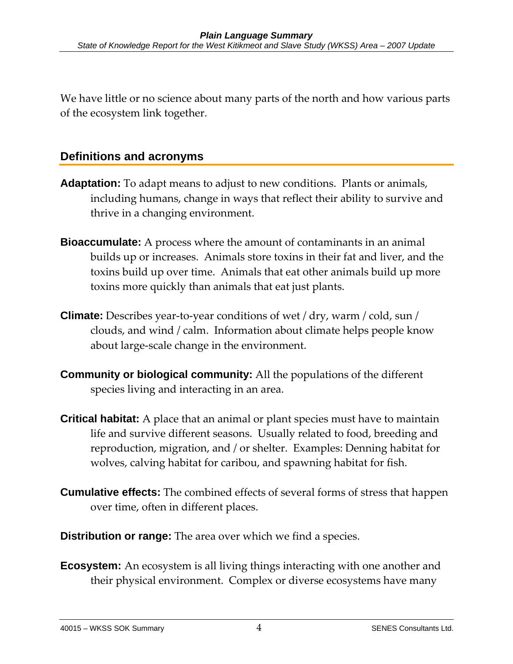We have little or no science about many parts of the north and how various parts of the ecosystem link together.

### **Definitions and acronyms**

- **Adaptation:** To adapt means to adjust to new conditions. Plants or animals, including humans, change in ways that reflect their ability to survive and thrive in a changing environment.
- **Bioaccumulate:** A process where the amount of contaminants in an animal builds up or increases. Animals store toxins in their fat and liver, and the toxins build up over time. Animals that eat other animals build up more toxins more quickly than animals that eat just plants.
- **Climate:** Describes year-to-year conditions of wet / dry, warm / cold, sun / clouds, and wind / calm. Information about climate helps people know about large-scale change in the environment.
- **Community or biological community:** All the populations of the different species living and interacting in an area.
- **Critical habitat:** A place that an animal or plant species must have to maintain life and survive different seasons. Usually related to food, breeding and reproduction, migration, and / or shelter. Examples: Denning habitat for wolves, calving habitat for caribou, and spawning habitat for fish.
- **Cumulative effects:** The combined effects of several forms of stress that happen over time, often in different places.
- **Distribution or range:** The area over which we find a species.
- **Ecosystem:** An ecosystem is all living things interacting with one another and their physical environment. Complex or diverse ecosystems have many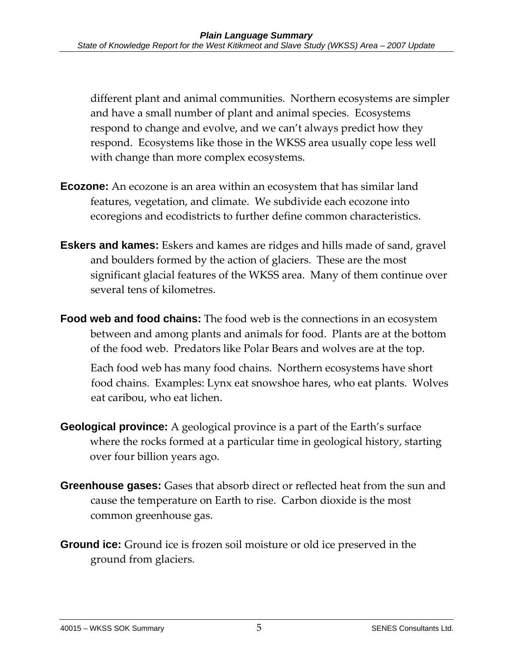different plant and animal communities. Northern ecosystems are simpler and have a small number of plant and animal species. Ecosystems respond to change and evolve, and we can't always predict how they respond. Ecosystems like those in the WKSS area usually cope less well with change than more complex ecosystems.

- **Ecozone:** An ecozone is an area within an ecosystem that has similar land features, vegetation, and climate. We subdivide each ecozone into ecoregions and ecodistricts to further define common characteristics.
- **Eskers and kames:** Eskers and kames are ridges and hills made of sand, gravel and boulders formed by the action of glaciers. These are the most significant glacial features of the WKSS area. Many of them continue over several tens of kilometres.
- **Food web and food chains:** The food web is the connections in an ecosystem between and among plants and animals for food. Plants are at the bottom of the food web. Predators like Polar Bears and wolves are at the top.

Each food web has many food chains. Northern ecosystems have short food chains. Examples: Lynx eat snowshoe hares, who eat plants. Wolves eat caribou, who eat lichen.

- **Geological province:** A geological province is a part of the Earth's surface where the rocks formed at a particular time in geological history, starting over four billion years ago.
- **Greenhouse gases:** Gases that absorb direct or reflected heat from the sun and cause the temperature on Earth to rise. Carbon dioxide is the most common greenhouse gas.
- **Ground ice:** Ground ice is frozen soil moisture or old ice preserved in the ground from glaciers.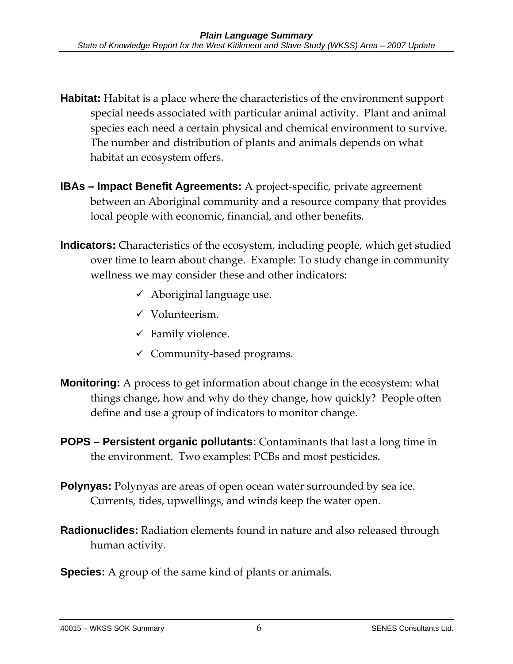- **Habitat:** Habitat is a place where the characteristics of the environment support special needs associated with particular animal activity. Plant and animal species each need a certain physical and chemical environment to survive. The number and distribution of plants and animals depends on what habitat an ecosystem offers.
- **IBAs Impact Benefit Agreements:** A project-specific, private agreement between an Aboriginal community and a resource company that provides local people with economic, financial, and other benefits.
- **Indicators:** Characteristics of the ecosystem, including people, which get studied over time to learn about change. Example: To study change in community wellness we may consider these and other indicators:
	- $\checkmark$  Aboriginal language use.
	- $\checkmark$  Volunteerism.
	- $\checkmark$  Family violence.
	- $\checkmark$  Community-based programs.
- **Monitoring:** A process to get information about change in the ecosystem: what things change, how and why do they change, how quickly? People often define and use a group of indicators to monitor change.
- **POPS Persistent organic pollutants:** Contaminants that last a long time in the environment. Two examples: PCBs and most pesticides.
- **Polynyas:** Polynyas are areas of open ocean water surrounded by sea ice. Currents, tides, upwellings, and winds keep the water open.
- **Radionuclides:** Radiation elements found in nature and also released through human activity.
- **Species:** A group of the same kind of plants or animals.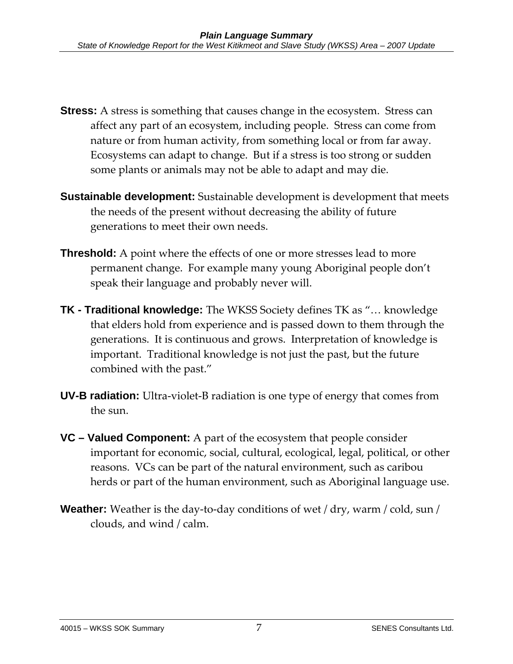- **Stress:** A stress is something that causes change in the ecosystem. Stress can affect any part of an ecosystem, including people. Stress can come from nature or from human activity, from something local or from far away. Ecosystems can adapt to change. But if a stress is too strong or sudden some plants or animals may not be able to adapt and may die.
- **Sustainable development:** Sustainable development is development that meets the needs of the present without decreasing the ability of future generations to meet their own needs.
- **Threshold:** A point where the effects of one or more stresses lead to more permanent change. For example many young Aboriginal people don't speak their language and probably never will.
- **TK Traditional knowledge:** The WKSS Society defines TK as "… knowledge that elders hold from experience and is passed down to them through the generations. It is continuous and grows. Interpretation of knowledge is important. Traditional knowledge is not just the past, but the future combined with the past."
- **UV-B radiation:** Ultra-violet-B radiation is one type of energy that comes from the sun.
- **VC Valued Component:** A part of the ecosystem that people consider important for economic, social, cultural, ecological, legal, political, or other reasons. VCs can be part of the natural environment, such as caribou herds or part of the human environment, such as Aboriginal language use.
- **Weather:** Weather is the day-to-day conditions of wet / dry, warm / cold, sun / clouds, and wind / calm.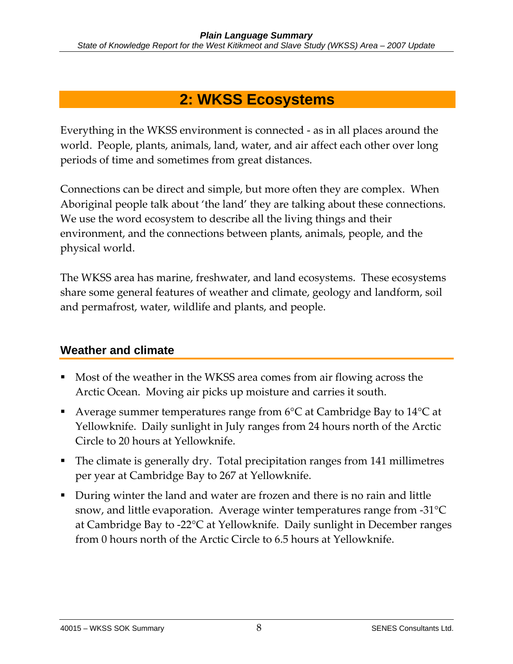# **2: WKSS Ecosystems**

Everything in the WKSS environment is connected - as in all places around the world. People, plants, animals, land, water, and air affect each other over long periods of time and sometimes from great distances.

Connections can be direct and simple, but more often they are complex. When Aboriginal people talk about 'the land' they are talking about these connections. We use the word ecosystem to describe all the living things and their environment, and the connections between plants, animals, people, and the physical world.

The WKSS area has marine, freshwater, and land ecosystems. These ecosystems share some general features of weather and climate, geology and landform, soil and permafrost, water, wildlife and plants, and people.

### **Weather and climate**

- Most of the weather in the WKSS area comes from air flowing across the Arctic Ocean. Moving air picks up moisture and carries it south.
- Average summer temperatures range from 6°C at Cambridge Bay to 14°C at Yellowknife. Daily sunlight in July ranges from 24 hours north of the Arctic Circle to 20 hours at Yellowknife.
- The climate is generally dry. Total precipitation ranges from 141 millimetres per year at Cambridge Bay to 267 at Yellowknife.
- During winter the land and water are frozen and there is no rain and little snow, and little evaporation. Average winter temperatures range from -31°C at Cambridge Bay to -22°C at Yellowknife. Daily sunlight in December ranges from 0 hours north of the Arctic Circle to 6.5 hours at Yellowknife.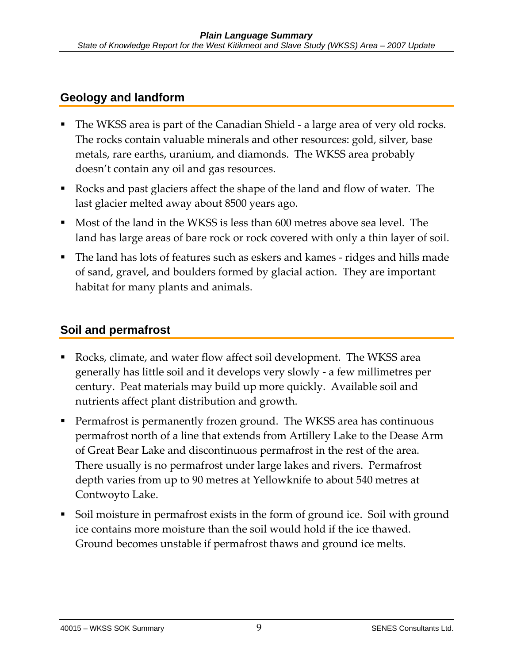### **Geology and landform**

- The WKSS area is part of the Canadian Shield a large area of very old rocks. The rocks contain valuable minerals and other resources: gold, silver, base metals, rare earths, uranium, and diamonds. The WKSS area probably doesn't contain any oil and gas resources.
- Rocks and past glaciers affect the shape of the land and flow of water. The last glacier melted away about 8500 years ago.
- Most of the land in the WKSS is less than 600 metres above sea level. The land has large areas of bare rock or rock covered with only a thin layer of soil.
- The land has lots of features such as eskers and kames ridges and hills made of sand, gravel, and boulders formed by glacial action. They are important habitat for many plants and animals.

### **Soil and permafrost**

- Rocks, climate, and water flow affect soil development. The WKSS area generally has little soil and it develops very slowly - a few millimetres per century. Peat materials may build up more quickly. Available soil and nutrients affect plant distribution and growth.
- Permafrost is permanently frozen ground. The WKSS area has continuous permafrost north of a line that extends from Artillery Lake to the Dease Arm of Great Bear Lake and discontinuous permafrost in the rest of the area. There usually is no permafrost under large lakes and rivers. Permafrost depth varies from up to 90 metres at Yellowknife to about 540 metres at Contwoyto Lake.
- Soil moisture in permafrost exists in the form of ground ice. Soil with ground ice contains more moisture than the soil would hold if the ice thawed. Ground becomes unstable if permafrost thaws and ground ice melts.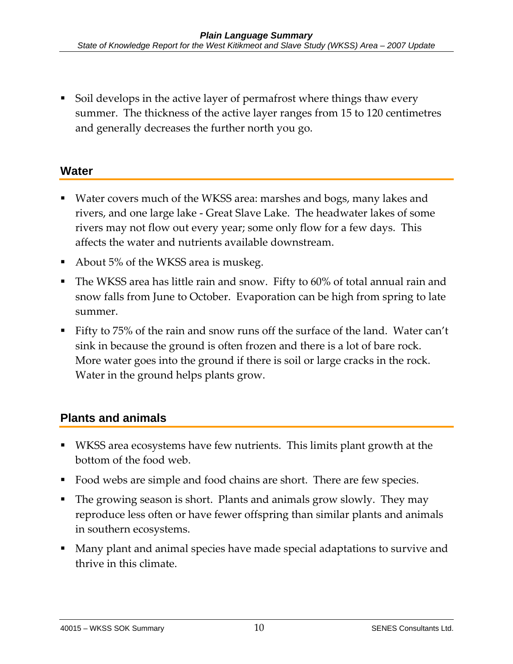Soil develops in the active layer of permafrost where things thaw every summer. The thickness of the active layer ranges from 15 to 120 centimetres and generally decreases the further north you go.

### **Water**

- Water covers much of the WKSS area: marshes and bogs, many lakes and rivers, and one large lake - Great Slave Lake. The headwater lakes of some rivers may not flow out every year; some only flow for a few days. This affects the water and nutrients available downstream.
- About 5% of the WKSS area is muskeg.
- The WKSS area has little rain and snow. Fifty to 60% of total annual rain and snow falls from June to October. Evaporation can be high from spring to late summer.
- Fifty to 75% of the rain and snow runs off the surface of the land. Water can't sink in because the ground is often frozen and there is a lot of bare rock. More water goes into the ground if there is soil or large cracks in the rock. Water in the ground helps plants grow.

### **Plants and animals**

- WKSS area ecosystems have few nutrients. This limits plant growth at the bottom of the food web.
- Food webs are simple and food chains are short. There are few species.
- The growing season is short. Plants and animals grow slowly. They may reproduce less often or have fewer offspring than similar plants and animals in southern ecosystems.
- Many plant and animal species have made special adaptations to survive and thrive in this climate.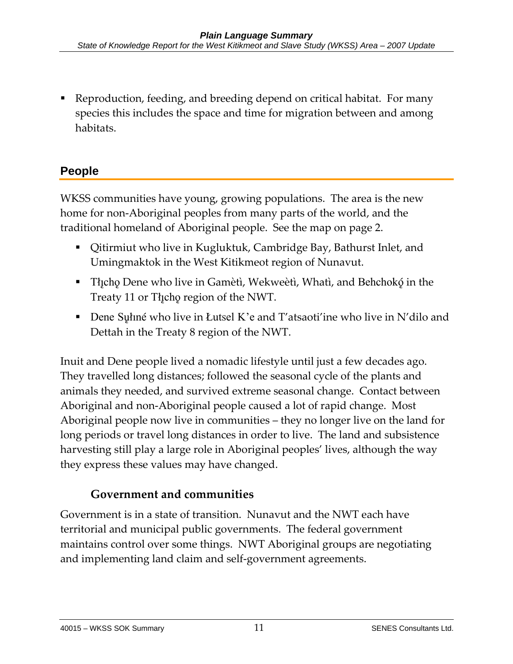Reproduction, feeding, and breeding depend on critical habitat. For many species this includes the space and time for migration between and among habitats.

# **People**

WKSS communities have young, growing populations. The area is the new home for non-Aboriginal peoples from many parts of the world, and the traditional homeland of Aboriginal people. See the map on page 2.

- Qitirmiut who live in Kugluktuk, Cambridge Bay, Bathurst Inlet, and Umingmaktok in the West Kitikmeot region of Nunavut.
- Tłįcho Dene who live in Gamètì, Wekweètì, Whatì, and Behchokó in the Treaty 11 or Theoregion of the NWT.
- Dene Syliné who live in Lutsel K'e and T'atsaoti'ine who live in N'dilo and Dettah in the Treaty 8 region of the NWT.

Inuit and Dene people lived a nomadic lifestyle until just a few decades ago. They travelled long distances; followed the seasonal cycle of the plants and animals they needed, and survived extreme seasonal change. Contact between Aboriginal and non-Aboriginal people caused a lot of rapid change. Most Aboriginal people now live in communities – they no longer live on the land for long periods or travel long distances in order to live. The land and subsistence harvesting still play a large role in Aboriginal peoples' lives, although the way they express these values may have changed.

### **Government and communities**

Government is in a state of transition. Nunavut and the NWT each have territorial and municipal public governments. The federal government maintains control over some things. NWT Aboriginal groups are negotiating and implementing land claim and self-government agreements.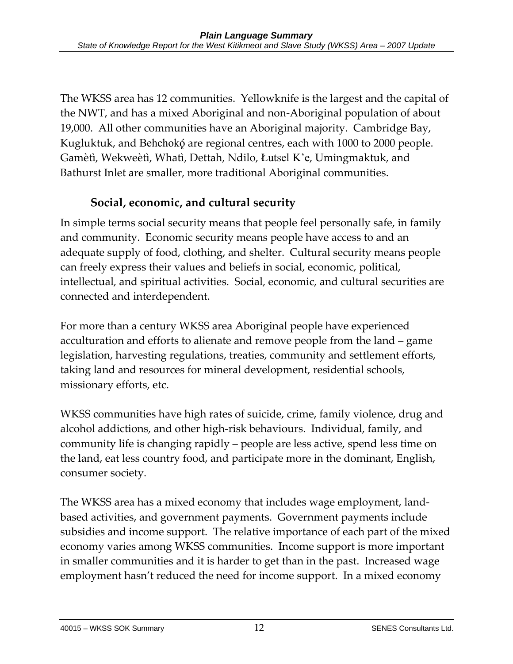The WKSS area has 12 communities. Yellowknife is the largest and the capital of the NWT, and has a mixed Aboriginal and non-Aboriginal population of about 19,000. All other communities have an Aboriginal majority. Cambridge Bay, Kugluktuk, and Behchokõ are regional centres, each with 1000 to 2000 people. Gamètì, Wekweètì, Whatì, Dettah, Ndilo, Åutsel K'e, Umingmaktuk, and Bathurst Inlet are smaller, more traditional Aboriginal communities.

# **Social, economic, and cultural security**

In simple terms social security means that people feel personally safe, in family and community. Economic security means people have access to and an adequate supply of food, clothing, and shelter. Cultural security means people can freely express their values and beliefs in social, economic, political, intellectual, and spiritual activities. Social, economic, and cultural securities are connected and interdependent.

For more than a century WKSS area Aboriginal people have experienced acculturation and efforts to alienate and remove people from the land – game legislation, harvesting regulations, treaties, community and settlement efforts, taking land and resources for mineral development, residential schools, missionary efforts, etc.

WKSS communities have high rates of suicide, crime, family violence, drug and alcohol addictions, and other high-risk behaviours. Individual, family, and community life is changing rapidly – people are less active, spend less time on the land, eat less country food, and participate more in the dominant, English, consumer society.

The WKSS area has a mixed economy that includes wage employment, landbased activities, and government payments. Government payments include subsidies and income support. The relative importance of each part of the mixed economy varies among WKSS communities. Income support is more important in smaller communities and it is harder to get than in the past. Increased wage employment hasn't reduced the need for income support. In a mixed economy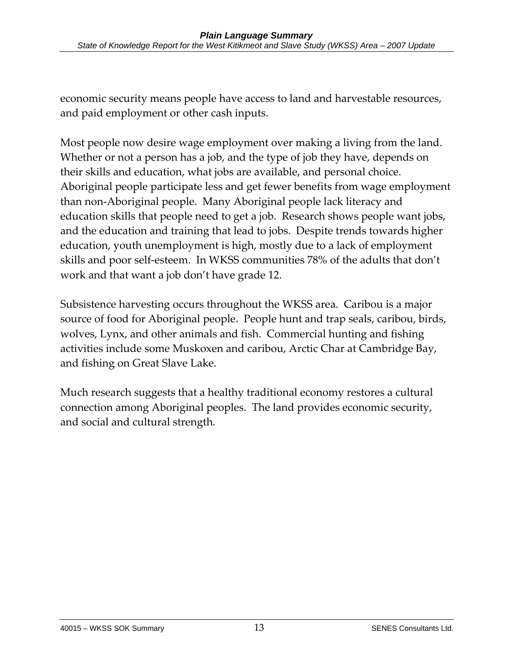economic security means people have access to land and harvestable resources, and paid employment or other cash inputs.

Most people now desire wage employment over making a living from the land. Whether or not a person has a job, and the type of job they have, depends on their skills and education, what jobs are available, and personal choice. Aboriginal people participate less and get fewer benefits from wage employment than non-Aboriginal people. Many Aboriginal people lack literacy and education skills that people need to get a job. Research shows people want jobs, and the education and training that lead to jobs. Despite trends towards higher education, youth unemployment is high, mostly due to a lack of employment skills and poor self-esteem. In WKSS communities 78% of the adults that don't work and that want a job don't have grade 12.

Subsistence harvesting occurs throughout the WKSS area. Caribou is a major source of food for Aboriginal people. People hunt and trap seals, caribou, birds, wolves, Lynx, and other animals and fish. Commercial hunting and fishing activities include some Muskoxen and caribou, Arctic Char at Cambridge Bay, and fishing on Great Slave Lake.

Much research suggests that a healthy traditional economy restores a cultural connection among Aboriginal peoples. The land provides economic security, and social and cultural strength.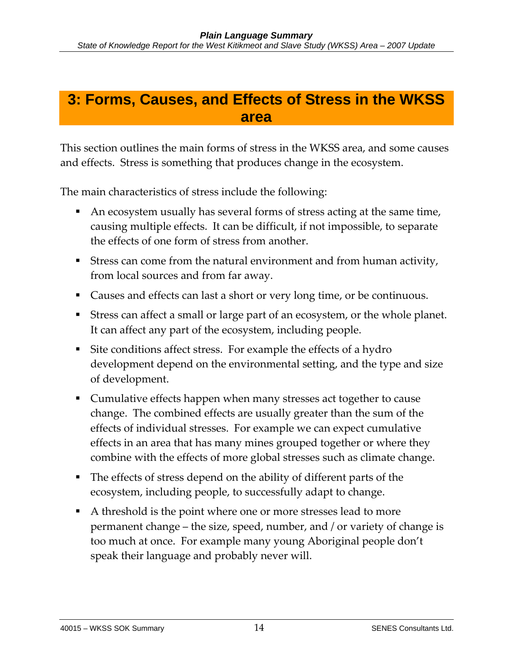# **3: Forms, Causes, and Effects of Stress in the WKSS area**

This section outlines the main forms of stress in the WKSS area, and some causes and effects. Stress is something that produces change in the ecosystem.

The main characteristics of stress include the following:

- An ecosystem usually has several forms of stress acting at the same time, causing multiple effects. It can be difficult, if not impossible, to separate the effects of one form of stress from another.
- Stress can come from the natural environment and from human activity, from local sources and from far away.
- Causes and effects can last a short or very long time, or be continuous.
- Stress can affect a small or large part of an ecosystem, or the whole planet. It can affect any part of the ecosystem, including people.
- Site conditions affect stress. For example the effects of a hydro development depend on the environmental setting, and the type and size of development.
- Cumulative effects happen when many stresses act together to cause change. The combined effects are usually greater than the sum of the effects of individual stresses. For example we can expect cumulative effects in an area that has many mines grouped together or where they combine with the effects of more global stresses such as climate change.
- The effects of stress depend on the ability of different parts of the ecosystem, including people, to successfully adapt to change.
- A threshold is the point where one or more stresses lead to more permanent change – the size, speed, number, and / or variety of change is too much at once. For example many young Aboriginal people don't speak their language and probably never will.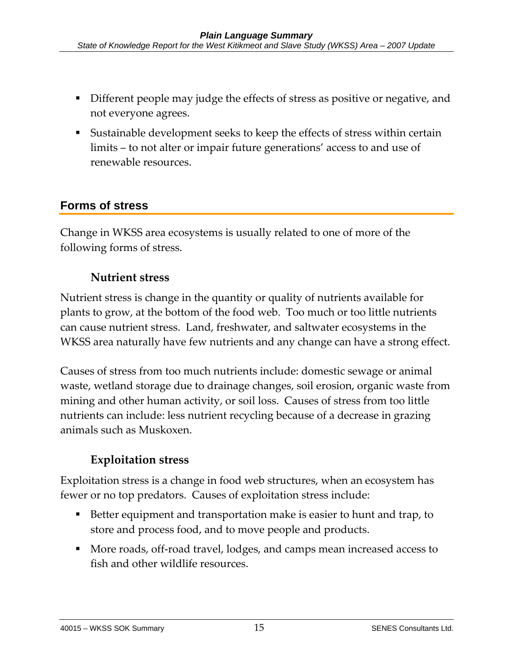- Different people may judge the effects of stress as positive or negative, and not everyone agrees.
- Sustainable development seeks to keep the effects of stress within certain limits – to not alter or impair future generations' access to and use of renewable resources.

### **Forms of stress**

Change in WKSS area ecosystems is usually related to one of more of the following forms of stress.

### **Nutrient stress**

Nutrient stress is change in the quantity or quality of nutrients available for plants to grow, at the bottom of the food web. Too much or too little nutrients can cause nutrient stress. Land, freshwater, and saltwater ecosystems in the WKSS area naturally have few nutrients and any change can have a strong effect.

Causes of stress from too much nutrients include: domestic sewage or animal waste, wetland storage due to drainage changes, soil erosion, organic waste from mining and other human activity, or soil loss. Causes of stress from too little nutrients can include: less nutrient recycling because of a decrease in grazing animals such as Muskoxen.

### **Exploitation stress**

Exploitation stress is a change in food web structures, when an ecosystem has fewer or no top predators. Causes of exploitation stress include:

- Better equipment and transportation make is easier to hunt and trap, to store and process food, and to move people and products.
- More roads, off-road travel, lodges, and camps mean increased access to fish and other wildlife resources.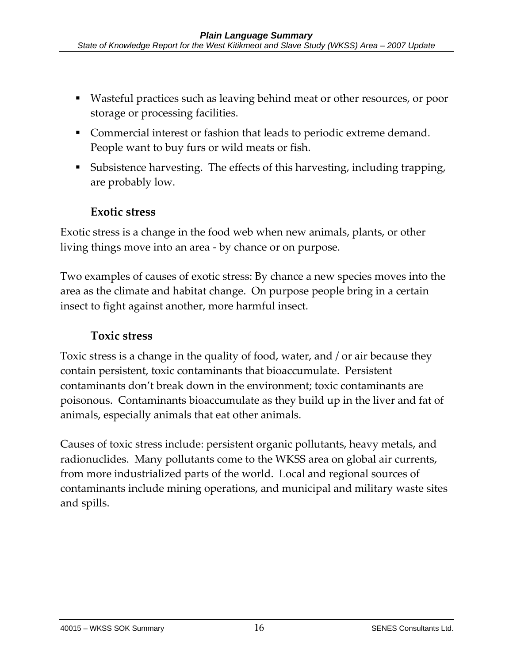- Wasteful practices such as leaving behind meat or other resources, or poor storage or processing facilities.
- Commercial interest or fashion that leads to periodic extreme demand. People want to buy furs or wild meats or fish.
- Subsistence harvesting. The effects of this harvesting, including trapping, are probably low.

### **Exotic stress**

Exotic stress is a change in the food web when new animals, plants, or other living things move into an area - by chance or on purpose.

Two examples of causes of exotic stress: By chance a new species moves into the area as the climate and habitat change. On purpose people bring in a certain insect to fight against another, more harmful insect.

### **Toxic stress**

Toxic stress is a change in the quality of food, water, and / or air because they contain persistent, toxic contaminants that bioaccumulate. Persistent contaminants don't break down in the environment; toxic contaminants are poisonous. Contaminants bioaccumulate as they build up in the liver and fat of animals, especially animals that eat other animals.

Causes of toxic stress include: persistent organic pollutants, heavy metals, and radionuclides. Many pollutants come to the WKSS area on global air currents, from more industrialized parts of the world. Local and regional sources of contaminants include mining operations, and municipal and military waste sites and spills.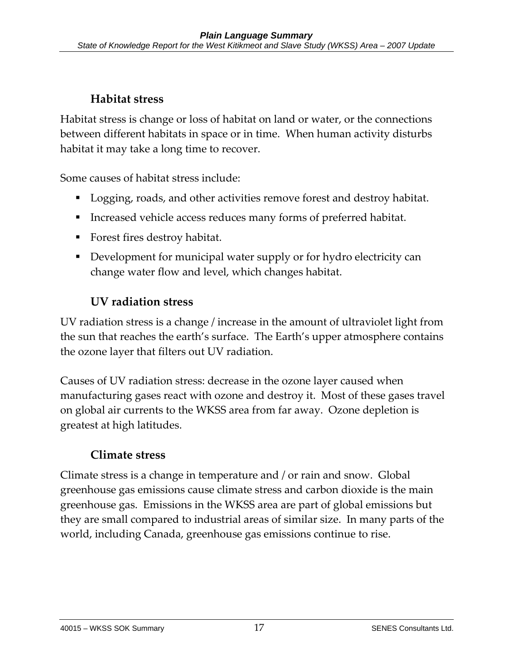### **Habitat stress**

Habitat stress is change or loss of habitat on land or water, or the connections between different habitats in space or in time. When human activity disturbs habitat it may take a long time to recover.

Some causes of habitat stress include:

- Logging, roads, and other activities remove forest and destroy habitat.
- Increased vehicle access reduces many forms of preferred habitat.
- Forest fires destroy habitat.
- Development for municipal water supply or for hydro electricity can change water flow and level, which changes habitat.

### **UV radiation stress**

UV radiation stress is a change / increase in the amount of ultraviolet light from the sun that reaches the earth's surface. The Earth's upper atmosphere contains the ozone layer that filters out UV radiation.

Causes of UV radiation stress: decrease in the ozone layer caused when manufacturing gases react with ozone and destroy it. Most of these gases travel on global air currents to the WKSS area from far away. Ozone depletion is greatest at high latitudes.

# **Climate stress**

Climate stress is a change in temperature and / or rain and snow. Global greenhouse gas emissions cause climate stress and carbon dioxide is the main greenhouse gas. Emissions in the WKSS area are part of global emissions but they are small compared to industrial areas of similar size. In many parts of the world, including Canada, greenhouse gas emissions continue to rise.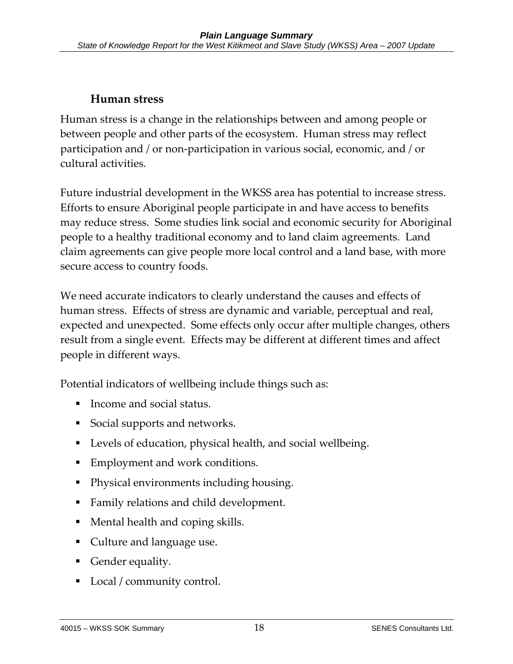### **Human stress**

Human stress is a change in the relationships between and among people or between people and other parts of the ecosystem. Human stress may reflect participation and / or non-participation in various social, economic, and / or cultural activities.

Future industrial development in the WKSS area has potential to increase stress. Efforts to ensure Aboriginal people participate in and have access to benefits may reduce stress. Some studies link social and economic security for Aboriginal people to a healthy traditional economy and to land claim agreements. Land claim agreements can give people more local control and a land base, with more secure access to country foods.

We need accurate indicators to clearly understand the causes and effects of human stress. Effects of stress are dynamic and variable, perceptual and real, expected and unexpected. Some effects only occur after multiple changes, others result from a single event. Effects may be different at different times and affect people in different ways.

Potential indicators of wellbeing include things such as:

- Income and social status.
- **Social supports and networks.**
- Levels of education, physical health, and social wellbeing.
- Employment and work conditions.
- Physical environments including housing.
- Family relations and child development.
- Mental health and coping skills.
- Culture and language use.
- Gender equality.
- Local / community control.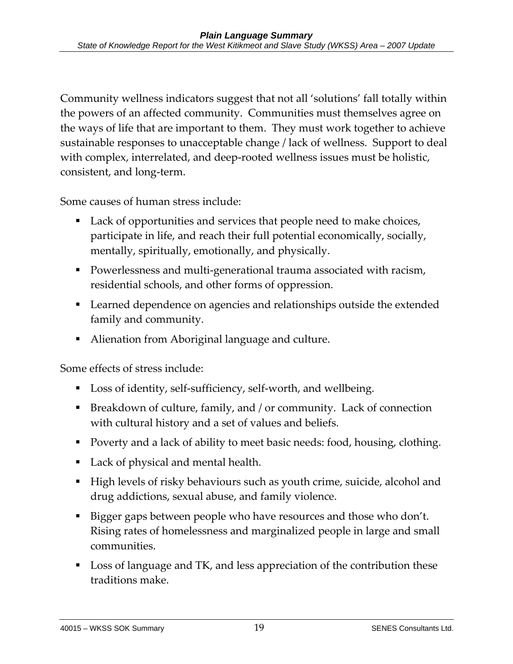Community wellness indicators suggest that not all 'solutions' fall totally within the powers of an affected community. Communities must themselves agree on the ways of life that are important to them. They must work together to achieve sustainable responses to unacceptable change / lack of wellness. Support to deal with complex, interrelated, and deep-rooted wellness issues must be holistic, consistent, and long-term.

Some causes of human stress include:

- Lack of opportunities and services that people need to make choices, participate in life, and reach their full potential economically, socially, mentally, spiritually, emotionally, and physically.
- Powerlessness and multi-generational trauma associated with racism, residential schools, and other forms of oppression.
- Learned dependence on agencies and relationships outside the extended family and community.
- Alienation from Aboriginal language and culture.

Some effects of stress include:

- Loss of identity, self-sufficiency, self-worth, and wellbeing.
- Breakdown of culture, family, and / or community. Lack of connection with cultural history and a set of values and beliefs.
- **Poverty and a lack of ability to meet basic needs: food, housing, clothing.**
- Lack of physical and mental health.
- High levels of risky behaviours such as youth crime, suicide, alcohol and drug addictions, sexual abuse, and family violence.
- Bigger gaps between people who have resources and those who don't. Rising rates of homelessness and marginalized people in large and small communities.
- Loss of language and TK, and less appreciation of the contribution these traditions make.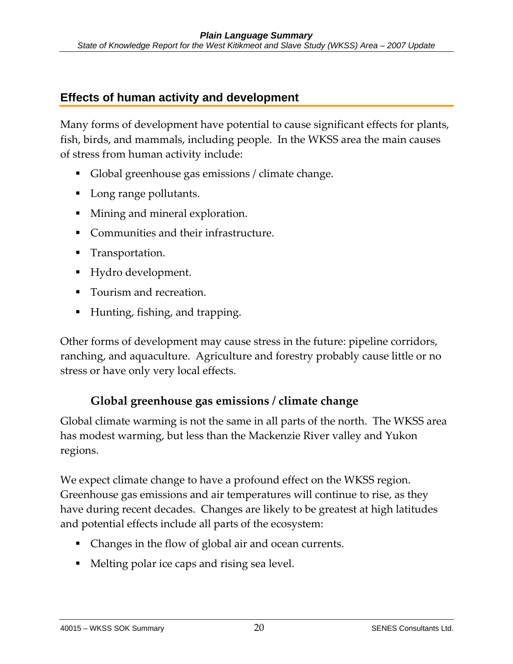### **Effects of human activity and development**

Many forms of development have potential to cause significant effects for plants, fish, birds, and mammals, including people. In the WKSS area the main causes of stress from human activity include:

- Global greenhouse gas emissions / climate change.
- Long range pollutants.
- **Mining and mineral exploration.**
- Communities and their infrastructure.
- **Transportation.**
- Hydro development.
- **T**ourism and recreation.
- Hunting, fishing, and trapping.

Other forms of development may cause stress in the future: pipeline corridors, ranching, and aquaculture. Agriculture and forestry probably cause little or no stress or have only very local effects.

# **Global greenhouse gas emissions / climate change**

Global climate warming is not the same in all parts of the north. The WKSS area has modest warming, but less than the Mackenzie River valley and Yukon regions.

We expect climate change to have a profound effect on the WKSS region. Greenhouse gas emissions and air temperatures will continue to rise, as they have during recent decades. Changes are likely to be greatest at high latitudes and potential effects include all parts of the ecosystem:

- Changes in the flow of global air and ocean currents.
- Melting polar ice caps and rising sea level.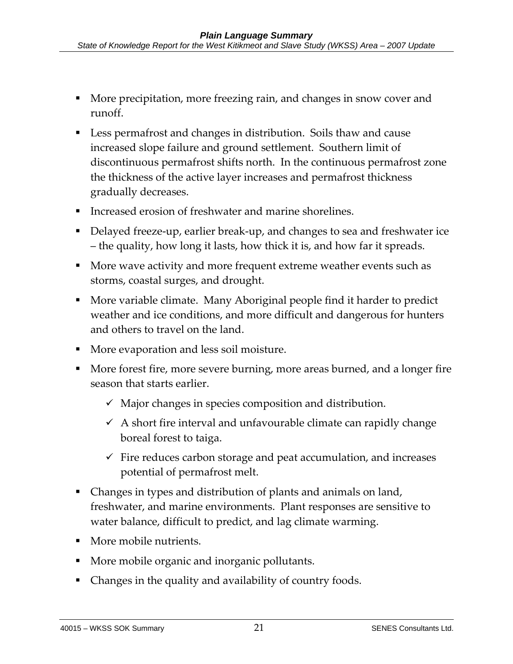- More precipitation, more freezing rain, and changes in snow cover and runoff.
- Less permafrost and changes in distribution. Soils thaw and cause increased slope failure and ground settlement. Southern limit of discontinuous permafrost shifts north. In the continuous permafrost zone the thickness of the active layer increases and permafrost thickness gradually decreases.
- Increased erosion of freshwater and marine shorelines.
- Delayed freeze-up, earlier break-up, and changes to sea and freshwater ice – the quality, how long it lasts, how thick it is, and how far it spreads.
- **More wave activity and more frequent extreme weather events such as** storms, coastal surges, and drought.
- More variable climate. Many Aboriginal people find it harder to predict weather and ice conditions, and more difficult and dangerous for hunters and others to travel on the land.
- More evaporation and less soil moisture.
- More forest fire, more severe burning, more areas burned, and a longer fire season that starts earlier.
	- $\checkmark$  Major changes in species composition and distribution.
	- $\overline{9}$  A short fire interval and unfavourable climate can rapidly change boreal forest to taiga.
	- $\checkmark$  Fire reduces carbon storage and peat accumulation, and increases potential of permafrost melt.
- Changes in types and distribution of plants and animals on land, freshwater, and marine environments. Plant responses are sensitive to water balance, difficult to predict, and lag climate warming.
- **More mobile nutrients.**
- More mobile organic and inorganic pollutants.
- Changes in the quality and availability of country foods.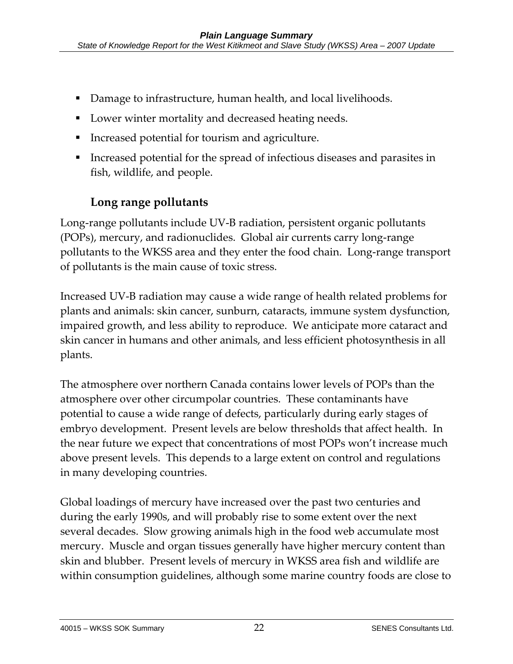- Damage to infrastructure, human health, and local livelihoods.
- Lower winter mortality and decreased heating needs.
- Increased potential for tourism and agriculture.
- Increased potential for the spread of infectious diseases and parasites in fish, wildlife, and people.

### **Long range pollutants**

Long-range pollutants include UV-B radiation, persistent organic pollutants (POPs), mercury, and radionuclides. Global air currents carry long-range pollutants to the WKSS area and they enter the food chain. Long-range transport of pollutants is the main cause of toxic stress.

Increased UV-B radiation may cause a wide range of health related problems for plants and animals: skin cancer, sunburn, cataracts, immune system dysfunction, impaired growth, and less ability to reproduce. We anticipate more cataract and skin cancer in humans and other animals, and less efficient photosynthesis in all plants.

The atmosphere over northern Canada contains lower levels of POPs than the atmosphere over other circumpolar countries. These contaminants have potential to cause a wide range of defects, particularly during early stages of embryo development. Present levels are below thresholds that affect health. In the near future we expect that concentrations of most POPs won't increase much above present levels. This depends to a large extent on control and regulations in many developing countries.

Global loadings of mercury have increased over the past two centuries and during the early 1990s, and will probably rise to some extent over the next several decades. Slow growing animals high in the food web accumulate most mercury. Muscle and organ tissues generally have higher mercury content than skin and blubber. Present levels of mercury in WKSS area fish and wildlife are within consumption guidelines, although some marine country foods are close to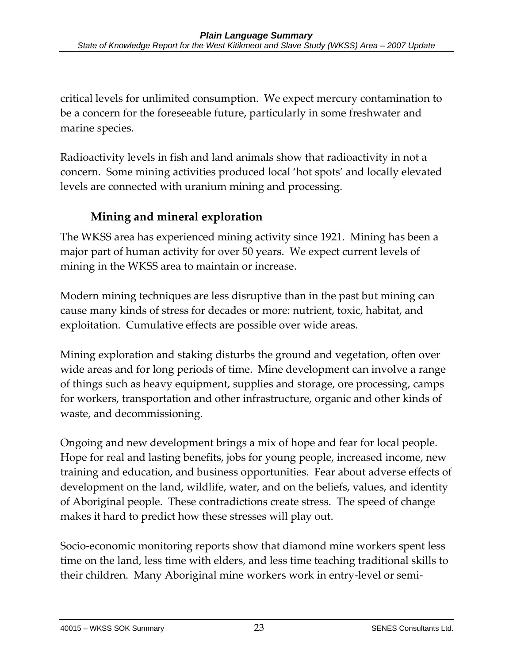critical levels for unlimited consumption. We expect mercury contamination to be a concern for the foreseeable future, particularly in some freshwater and marine species.

Radioactivity levels in fish and land animals show that radioactivity in not a concern. Some mining activities produced local 'hot spots' and locally elevated levels are connected with uranium mining and processing.

# **Mining and mineral exploration**

The WKSS area has experienced mining activity since 1921. Mining has been a major part of human activity for over 50 years. We expect current levels of mining in the WKSS area to maintain or increase.

Modern mining techniques are less disruptive than in the past but mining can cause many kinds of stress for decades or more: nutrient, toxic, habitat, and exploitation. Cumulative effects are possible over wide areas.

Mining exploration and staking disturbs the ground and vegetation, often over wide areas and for long periods of time. Mine development can involve a range of things such as heavy equipment, supplies and storage, ore processing, camps for workers, transportation and other infrastructure, organic and other kinds of waste, and decommissioning.

Ongoing and new development brings a mix of hope and fear for local people. Hope for real and lasting benefits, jobs for young people, increased income, new training and education, and business opportunities. Fear about adverse effects of development on the land, wildlife, water, and on the beliefs, values, and identity of Aboriginal people. These contradictions create stress. The speed of change makes it hard to predict how these stresses will play out.

Socio-economic monitoring reports show that diamond mine workers spent less time on the land, less time with elders, and less time teaching traditional skills to their children. Many Aboriginal mine workers work in entry-level or semi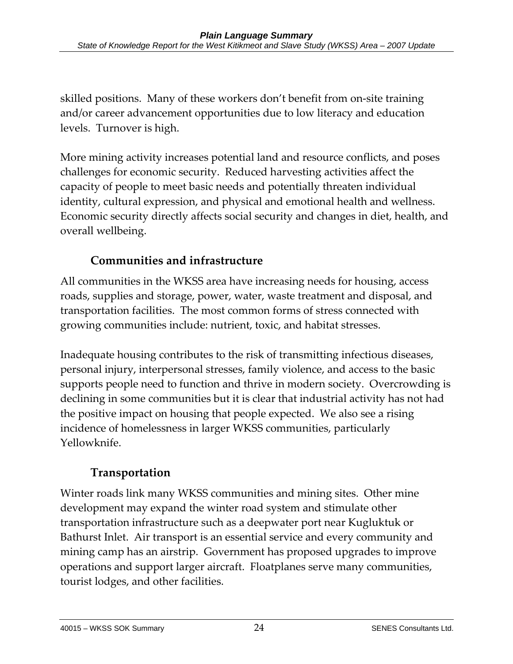skilled positions. Many of these workers don't benefit from on-site training and/or career advancement opportunities due to low literacy and education levels. Turnover is high.

More mining activity increases potential land and resource conflicts, and poses challenges for economic security. Reduced harvesting activities affect the capacity of people to meet basic needs and potentially threaten individual identity, cultural expression, and physical and emotional health and wellness. Economic security directly affects social security and changes in diet, health, and overall wellbeing.

# **Communities and infrastructure**

All communities in the WKSS area have increasing needs for housing, access roads, supplies and storage, power, water, waste treatment and disposal, and transportation facilities. The most common forms of stress connected with growing communities include: nutrient, toxic, and habitat stresses.

Inadequate housing contributes to the risk of transmitting infectious diseases, personal injury, interpersonal stresses, family violence, and access to the basic supports people need to function and thrive in modern society. Overcrowding is declining in some communities but it is clear that industrial activity has not had the positive impact on housing that people expected. We also see a rising incidence of homelessness in larger WKSS communities, particularly Yellowknife.

# **Transportation**

Winter roads link many WKSS communities and mining sites. Other mine development may expand the winter road system and stimulate other transportation infrastructure such as a deepwater port near Kugluktuk or Bathurst Inlet. Air transport is an essential service and every community and mining camp has an airstrip. Government has proposed upgrades to improve operations and support larger aircraft. Floatplanes serve many communities, tourist lodges, and other facilities.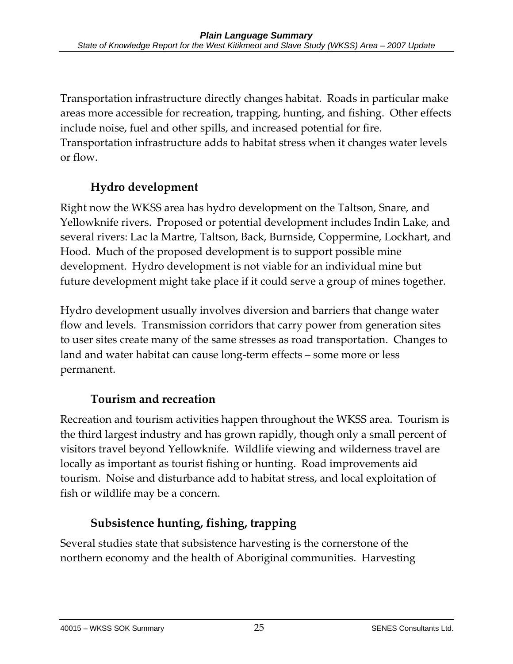Transportation infrastructure directly changes habitat. Roads in particular make areas more accessible for recreation, trapping, hunting, and fishing. Other effects include noise, fuel and other spills, and increased potential for fire. Transportation infrastructure adds to habitat stress when it changes water levels or flow.

# **Hydro development**

Right now the WKSS area has hydro development on the Taltson, Snare, and Yellowknife rivers. Proposed or potential development includes Indin Lake, and several rivers: Lac la Martre, Taltson, Back, Burnside, Coppermine, Lockhart, and Hood. Much of the proposed development is to support possible mine development. Hydro development is not viable for an individual mine but future development might take place if it could serve a group of mines together.

Hydro development usually involves diversion and barriers that change water flow and levels. Transmission corridors that carry power from generation sites to user sites create many of the same stresses as road transportation. Changes to land and water habitat can cause long-term effects – some more or less permanent.

# **Tourism and recreation**

Recreation and tourism activities happen throughout the WKSS area. Tourism is the third largest industry and has grown rapidly, though only a small percent of visitors travel beyond Yellowknife. Wildlife viewing and wilderness travel are locally as important as tourist fishing or hunting. Road improvements aid tourism. Noise and disturbance add to habitat stress, and local exploitation of fish or wildlife may be a concern.

# **Subsistence hunting, fishing, trapping**

Several studies state that subsistence harvesting is the cornerstone of the northern economy and the health of Aboriginal communities. Harvesting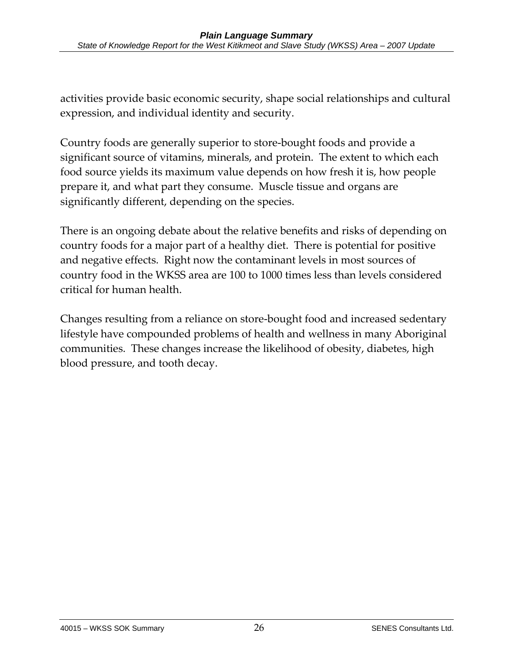activities provide basic economic security, shape social relationships and cultural expression, and individual identity and security.

Country foods are generally superior to store-bought foods and provide a significant source of vitamins, minerals, and protein. The extent to which each food source yields its maximum value depends on how fresh it is, how people prepare it, and what part they consume. Muscle tissue and organs are significantly different, depending on the species.

There is an ongoing debate about the relative benefits and risks of depending on country foods for a major part of a healthy diet. There is potential for positive and negative effects. Right now the contaminant levels in most sources of country food in the WKSS area are 100 to 1000 times less than levels considered critical for human health.

Changes resulting from a reliance on store-bought food and increased sedentary lifestyle have compounded problems of health and wellness in many Aboriginal communities. These changes increase the likelihood of obesity, diabetes, high blood pressure, and tooth decay.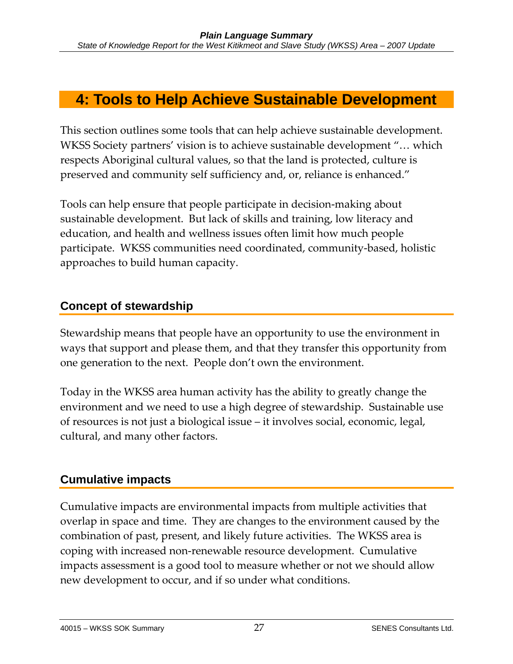# **4: Tools to Help Achieve Sustainable Development**

This section outlines some tools that can help achieve sustainable development. WKSS Society partners' vision is to achieve sustainable development "… which respects Aboriginal cultural values, so that the land is protected, culture is preserved and community self sufficiency and, or, reliance is enhanced."

Tools can help ensure that people participate in decision-making about sustainable development. But lack of skills and training, low literacy and education, and health and wellness issues often limit how much people participate. WKSS communities need coordinated, community-based, holistic approaches to build human capacity.

### **Concept of stewardship**

Stewardship means that people have an opportunity to use the environment in ways that support and please them, and that they transfer this opportunity from one generation to the next. People don't own the environment.

Today in the WKSS area human activity has the ability to greatly change the environment and we need to use a high degree of stewardship. Sustainable use of resources is not just a biological issue – it involves social, economic, legal, cultural, and many other factors.

### **Cumulative impacts**

Cumulative impacts are environmental impacts from multiple activities that overlap in space and time. They are changes to the environment caused by the combination of past, present, and likely future activities. The WKSS area is coping with increased non-renewable resource development. Cumulative impacts assessment is a good tool to measure whether or not we should allow new development to occur, and if so under what conditions.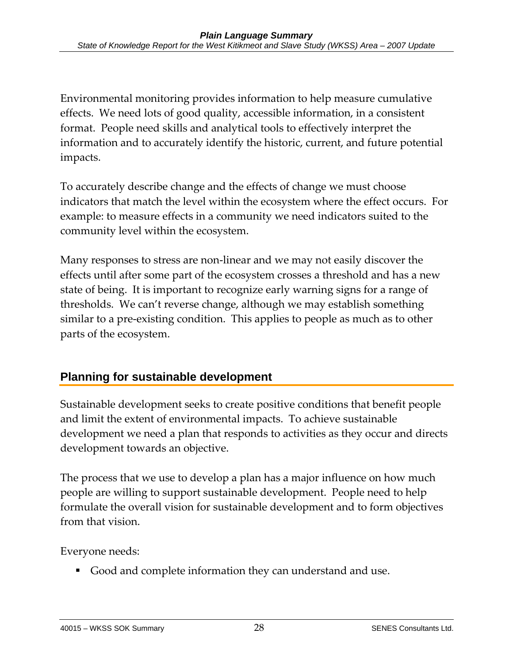Environmental monitoring provides information to help measure cumulative effects. We need lots of good quality, accessible information, in a consistent format. People need skills and analytical tools to effectively interpret the information and to accurately identify the historic, current, and future potential impacts.

To accurately describe change and the effects of change we must choose indicators that match the level within the ecosystem where the effect occurs. For example: to measure effects in a community we need indicators suited to the community level within the ecosystem.

Many responses to stress are non-linear and we may not easily discover the effects until after some part of the ecosystem crosses a threshold and has a new state of being. It is important to recognize early warning signs for a range of thresholds. We can't reverse change, although we may establish something similar to a pre-existing condition. This applies to people as much as to other parts of the ecosystem.

# **Planning for sustainable development**

Sustainable development seeks to create positive conditions that benefit people and limit the extent of environmental impacts. To achieve sustainable development we need a plan that responds to activities as they occur and directs development towards an objective.

The process that we use to develop a plan has a major influence on how much people are willing to support sustainable development. People need to help formulate the overall vision for sustainable development and to form objectives from that vision.

Everyone needs:

Good and complete information they can understand and use.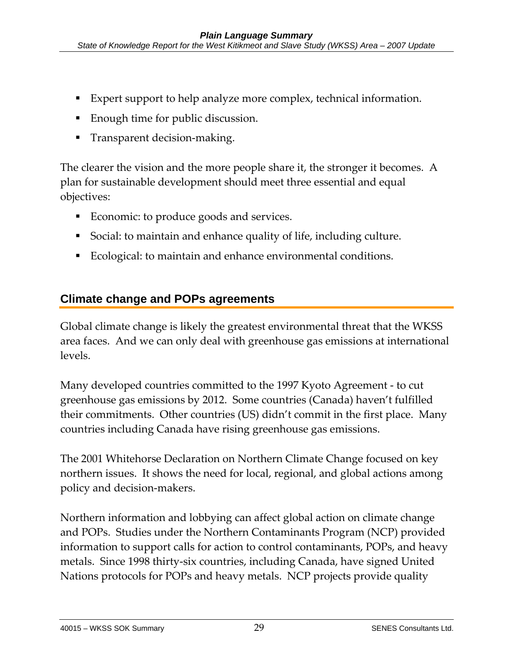- Expert support to help analyze more complex, technical information.
- **Enough time for public discussion.**
- Transparent decision-making.

The clearer the vision and the more people share it, the stronger it becomes. A plan for sustainable development should meet three essential and equal objectives:

- Economic: to produce goods and services.
- Social: to maintain and enhance quality of life, including culture.
- Ecological: to maintain and enhance environmental conditions.

### **Climate change and POPs agreements**

Global climate change is likely the greatest environmental threat that the WKSS area faces. And we can only deal with greenhouse gas emissions at international levels.

Many developed countries committed to the 1997 Kyoto Agreement - to cut greenhouse gas emissions by 2012. Some countries (Canada) haven't fulfilled their commitments. Other countries (US) didn't commit in the first place. Many countries including Canada have rising greenhouse gas emissions.

The 2001 Whitehorse Declaration on Northern Climate Change focused on key northern issues. It shows the need for local, regional, and global actions among policy and decision-makers.

Northern information and lobbying can affect global action on climate change and POPs. Studies under the Northern Contaminants Program (NCP) provided information to support calls for action to control contaminants, POPs, and heavy metals. Since 1998 thirty-six countries, including Canada, have signed United Nations protocols for POPs and heavy metals. NCP projects provide quality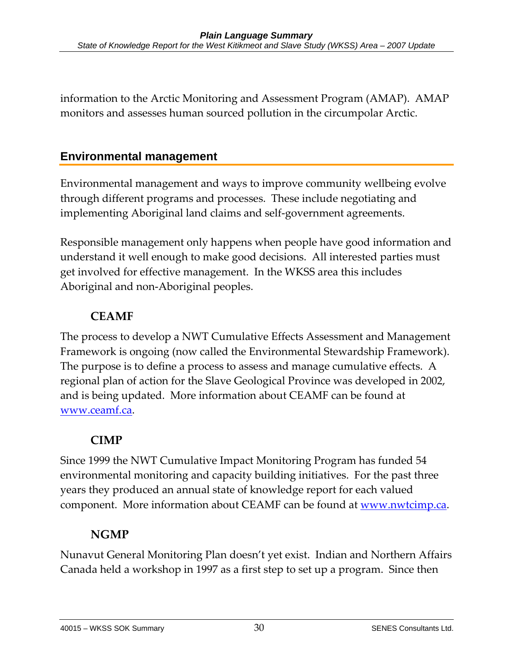information to the Arctic Monitoring and Assessment Program (AMAP). AMAP monitors and assesses human sourced pollution in the circumpolar Arctic.

### **Environmental management**

Environmental management and ways to improve community wellbeing evolve through different programs and processes. These include negotiating and implementing Aboriginal land claims and self-government agreements.

Responsible management only happens when people have good information and understand it well enough to make good decisions. All interested parties must get involved for effective management. In the WKSS area this includes Aboriginal and non-Aboriginal peoples.

### **CEAMF**

The process to develop a NWT Cumulative Effects Assessment and Management Framework is ongoing (now called the Environmental Stewardship Framework). The purpose is to define a process to assess and manage cumulative effects. A regional plan of action for the Slave Geological Province was developed in 2002, and is being updated. More information about CEAMF can be found at www.ceamf.ca.

### **CIMP**

Since 1999 the NWT Cumulative Impact Monitoring Program has funded 54 environmental monitoring and capacity building initiatives. For the past three years they produced an annual state of knowledge report for each valued component. More information about CEAMF can be found at www.nwtcimp.ca.

### **NGMP**

Nunavut General Monitoring Plan doesn't yet exist. Indian and Northern Affairs Canada held a workshop in 1997 as a first step to set up a program. Since then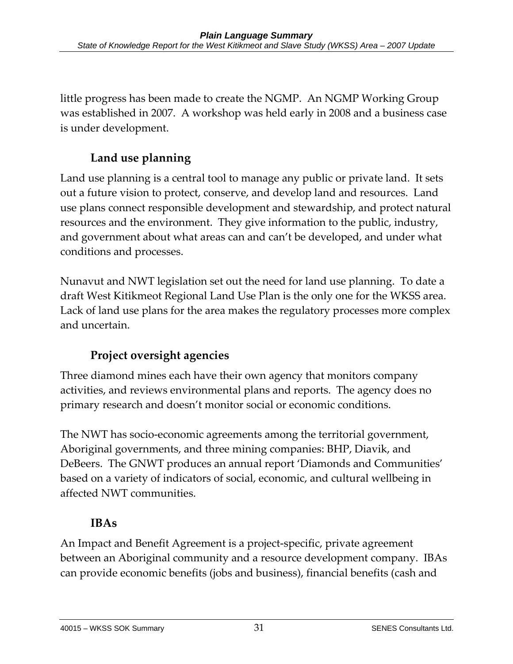little progress has been made to create the NGMP. An NGMP Working Group was established in 2007. A workshop was held early in 2008 and a business case is under development.

# **Land use planning**

Land use planning is a central tool to manage any public or private land. It sets out a future vision to protect, conserve, and develop land and resources. Land use plans connect responsible development and stewardship, and protect natural resources and the environment. They give information to the public, industry, and government about what areas can and can't be developed, and under what conditions and processes.

Nunavut and NWT legislation set out the need for land use planning. To date a draft West Kitikmeot Regional Land Use Plan is the only one for the WKSS area. Lack of land use plans for the area makes the regulatory processes more complex and uncertain.

# **Project oversight agencies**

Three diamond mines each have their own agency that monitors company activities, and reviews environmental plans and reports. The agency does no primary research and doesn't monitor social or economic conditions.

The NWT has socio-economic agreements among the territorial government, Aboriginal governments, and three mining companies: BHP, Diavik, and DeBeers. The GNWT produces an annual report 'Diamonds and Communities' based on a variety of indicators of social, economic, and cultural wellbeing in affected NWT communities.

# **IBAs**

An Impact and Benefit Agreement is a project-specific, private agreement between an Aboriginal community and a resource development company. IBAs can provide economic benefits (jobs and business), financial benefits (cash and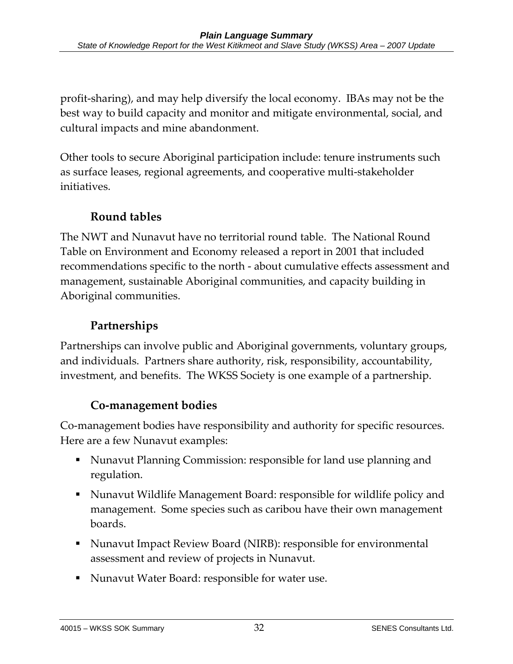profit-sharing), and may help diversify the local economy. IBAs may not be the best way to build capacity and monitor and mitigate environmental, social, and cultural impacts and mine abandonment.

Other tools to secure Aboriginal participation include: tenure instruments such as surface leases, regional agreements, and cooperative multi-stakeholder initiatives.

### **Round tables**

The NWT and Nunavut have no territorial round table. The National Round Table on Environment and Economy released a report in 2001 that included recommendations specific to the north - about cumulative effects assessment and management, sustainable Aboriginal communities, and capacity building in Aboriginal communities.

### **Partnerships**

Partnerships can involve public and Aboriginal governments, voluntary groups, and individuals. Partners share authority, risk, responsibility, accountability, investment, and benefits. The WKSS Society is one example of a partnership.

# **Co-management bodies**

Co-management bodies have responsibility and authority for specific resources. Here are a few Nunavut examples:

- Nunavut Planning Commission: responsible for land use planning and regulation.
- Nunavut Wildlife Management Board: responsible for wildlife policy and management. Some species such as caribou have their own management boards.
- Nunavut Impact Review Board (NIRB): responsible for environmental assessment and review of projects in Nunavut.
- Nunavut Water Board: responsible for water use.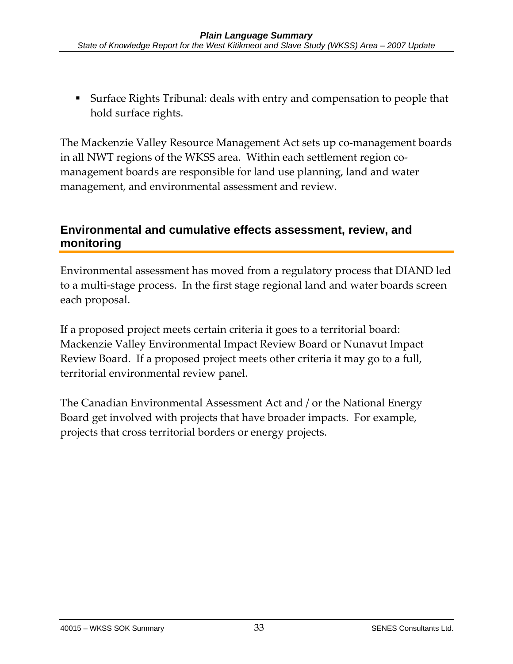Surface Rights Tribunal: deals with entry and compensation to people that hold surface rights.

The Mackenzie Valley Resource Management Act sets up co-management boards in all NWT regions of the WKSS area. Within each settlement region comanagement boards are responsible for land use planning, land and water management, and environmental assessment and review.

### **Environmental and cumulative effects assessment, review, and monitoring**

Environmental assessment has moved from a regulatory process that DIAND led to a multi-stage process. In the first stage regional land and water boards screen each proposal.

If a proposed project meets certain criteria it goes to a territorial board: Mackenzie Valley Environmental Impact Review Board or Nunavut Impact Review Board. If a proposed project meets other criteria it may go to a full, territorial environmental review panel.

The Canadian Environmental Assessment Act and / or the National Energy Board get involved with projects that have broader impacts. For example, projects that cross territorial borders or energy projects.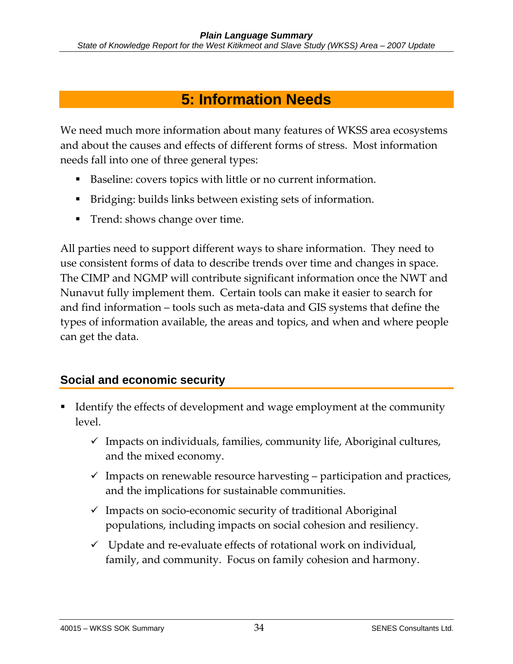# **5: Information Needs**

We need much more information about many features of WKSS area ecosystems and about the causes and effects of different forms of stress. Most information needs fall into one of three general types:

- Baseline: covers topics with little or no current information.
- Bridging: builds links between existing sets of information.
- Trend: shows change over time.

All parties need to support different ways to share information. They need to use consistent forms of data to describe trends over time and changes in space. The CIMP and NGMP will contribute significant information once the NWT and Nunavut fully implement them. Certain tools can make it easier to search for and find information – tools such as meta-data and GIS systems that define the types of information available, the areas and topics, and when and where people can get the data.

### **Social and economic security**

- Identify the effects of development and wage employment at the community level.
	- $\checkmark$  Impacts on individuals, families, community life, Aboriginal cultures, and the mixed economy.
	- $\checkmark$  Impacts on renewable resource harvesting participation and practices, and the implications for sustainable communities.
	- $\checkmark$  Impacts on socio-economic security of traditional Aboriginal populations, including impacts on social cohesion and resiliency.
	- $\checkmark$  Update and re-evaluate effects of rotational work on individual, family, and community. Focus on family cohesion and harmony.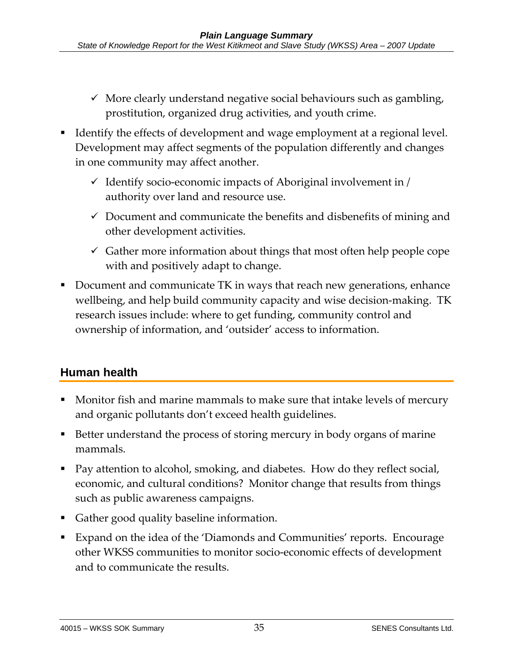- $\checkmark$  More clearly understand negative social behaviours such as gambling, prostitution, organized drug activities, and youth crime.
- Identify the effects of development and wage employment at a regional level. Development may affect segments of the population differently and changes in one community may affect another.
	- $\checkmark$  Identify socio-economic impacts of Aboriginal involvement in / authority over land and resource use.
	- $\checkmark$  Document and communicate the benefits and disbenefits of mining and other development activities.
	- $\checkmark$  Gather more information about things that most often help people cope with and positively adapt to change.
- Document and communicate TK in ways that reach new generations, enhance wellbeing, and help build community capacity and wise decision-making. TK research issues include: where to get funding, community control and ownership of information, and 'outsider' access to information.

### **Human health**

- Monitor fish and marine mammals to make sure that intake levels of mercury and organic pollutants don't exceed health guidelines.
- Better understand the process of storing mercury in body organs of marine mammals.
- Pay attention to alcohol, smoking, and diabetes. How do they reflect social, economic, and cultural conditions? Monitor change that results from things such as public awareness campaigns.
- Gather good quality baseline information.
- Expand on the idea of the 'Diamonds and Communities' reports. Encourage other WKSS communities to monitor socio-economic effects of development and to communicate the results.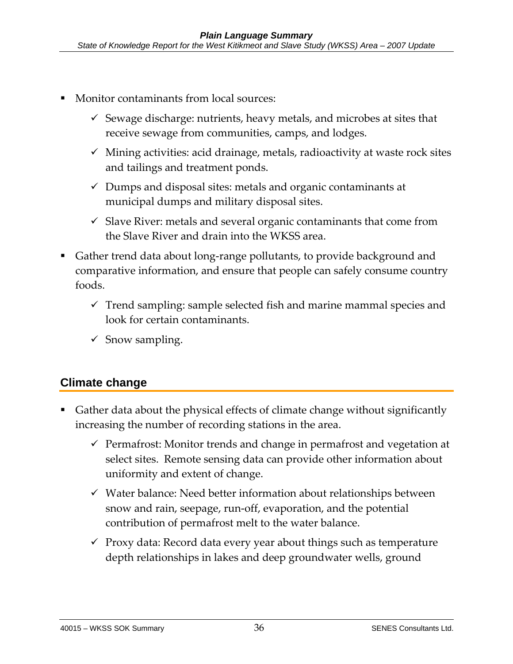- Monitor contaminants from local sources:
	- $\checkmark$  Sewage discharge: nutrients, heavy metals, and microbes at sites that receive sewage from communities, camps, and lodges.
	- $\checkmark$  Mining activities: acid drainage, metals, radioactivity at waste rock sites and tailings and treatment ponds.
	- $\checkmark$  Dumps and disposal sites: metals and organic contaminants at municipal dumps and military disposal sites.
	- $\checkmark$  Slave River: metals and several organic contaminants that come from the Slave River and drain into the WKSS area.
- Gather trend data about long-range pollutants, to provide background and comparative information, and ensure that people can safely consume country foods.
	- $\checkmark$  Trend sampling: sample selected fish and marine mammal species and look for certain contaminants.
	- $\checkmark$  Snow sampling.

### **Climate change**

- Gather data about the physical effects of climate change without significantly increasing the number of recording stations in the area.
	- $\checkmark$  Permafrost: Monitor trends and change in permafrost and vegetation at select sites. Remote sensing data can provide other information about uniformity and extent of change.
	- $\checkmark$  Water balance: Need better information about relationships between snow and rain, seepage, run-off, evaporation, and the potential contribution of permafrost melt to the water balance.
	- $\checkmark$  Proxy data: Record data every year about things such as temperature depth relationships in lakes and deep groundwater wells, ground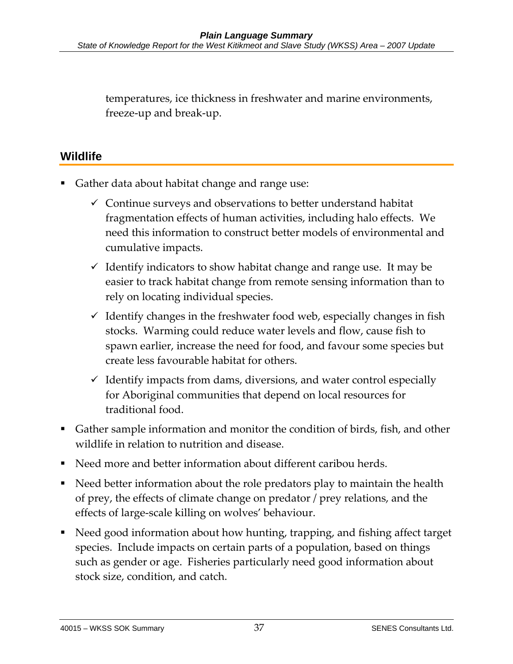temperatures, ice thickness in freshwater and marine environments, freeze-up and break-up.

### **Wildlife**

- Gather data about habitat change and range use:
	- $\checkmark$  Continue surveys and observations to better understand habitat fragmentation effects of human activities, including halo effects. We need this information to construct better models of environmental and cumulative impacts.
	- $\checkmark$  Identify indicators to show habitat change and range use. It may be easier to track habitat change from remote sensing information than to rely on locating individual species.
	- $\checkmark$  Identify changes in the freshwater food web, especially changes in fish stocks. Warming could reduce water levels and flow, cause fish to spawn earlier, increase the need for food, and favour some species but create less favourable habitat for others.
	- $\checkmark$  Identify impacts from dams, diversions, and water control especially for Aboriginal communities that depend on local resources for traditional food.
- Gather sample information and monitor the condition of birds, fish, and other wildlife in relation to nutrition and disease.
- Need more and better information about different caribou herds.
- Need better information about the role predators play to maintain the health of prey, the effects of climate change on predator / prey relations, and the effects of large-scale killing on wolves' behaviour.
- Need good information about how hunting, trapping, and fishing affect target species. Include impacts on certain parts of a population, based on things such as gender or age. Fisheries particularly need good information about stock size, condition, and catch.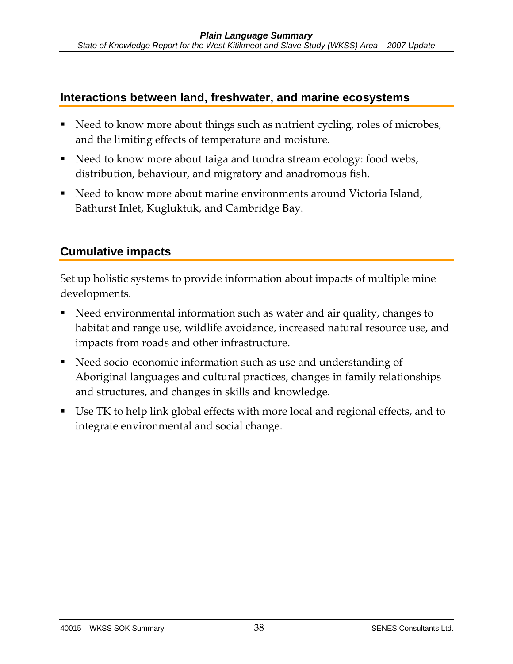### **Interactions between land, freshwater, and marine ecosystems**

- Need to know more about things such as nutrient cycling, roles of microbes, and the limiting effects of temperature and moisture.
- Need to know more about taiga and tundra stream ecology: food webs, distribution, behaviour, and migratory and anadromous fish.
- Need to know more about marine environments around Victoria Island, Bathurst Inlet, Kugluktuk, and Cambridge Bay.

### **Cumulative impacts**

Set up holistic systems to provide information about impacts of multiple mine developments.

- Need environmental information such as water and air quality, changes to habitat and range use, wildlife avoidance, increased natural resource use, and impacts from roads and other infrastructure.
- Need socio-economic information such as use and understanding of Aboriginal languages and cultural practices, changes in family relationships and structures, and changes in skills and knowledge.
- Use TK to help link global effects with more local and regional effects, and to integrate environmental and social change.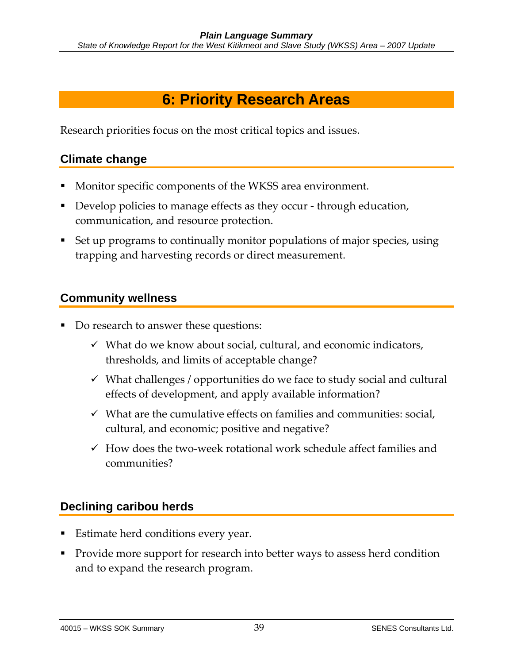# **6: Priority Research Areas**

Research priorities focus on the most critical topics and issues.

### **Climate change**

- Monitor specific components of the WKSS area environment.
- Develop policies to manage effects as they occur through education, communication, and resource protection.
- Set up programs to continually monitor populations of major species, using trapping and harvesting records or direct measurement.

### **Community wellness**

- Do research to answer these questions:
	- $\checkmark$  What do we know about social, cultural, and economic indicators, thresholds, and limits of acceptable change?
	- $\checkmark$  What challenges / opportunities do we face to study social and cultural effects of development, and apply available information?
	- $\checkmark$  What are the cumulative effects on families and communities: social, cultural, and economic; positive and negative?
	- $\checkmark$  How does the two-week rotational work schedule affect families and communities?

### **Declining caribou herds**

- Estimate herd conditions every year.
- **Provide more support for research into better ways to assess herd condition** and to expand the research program.